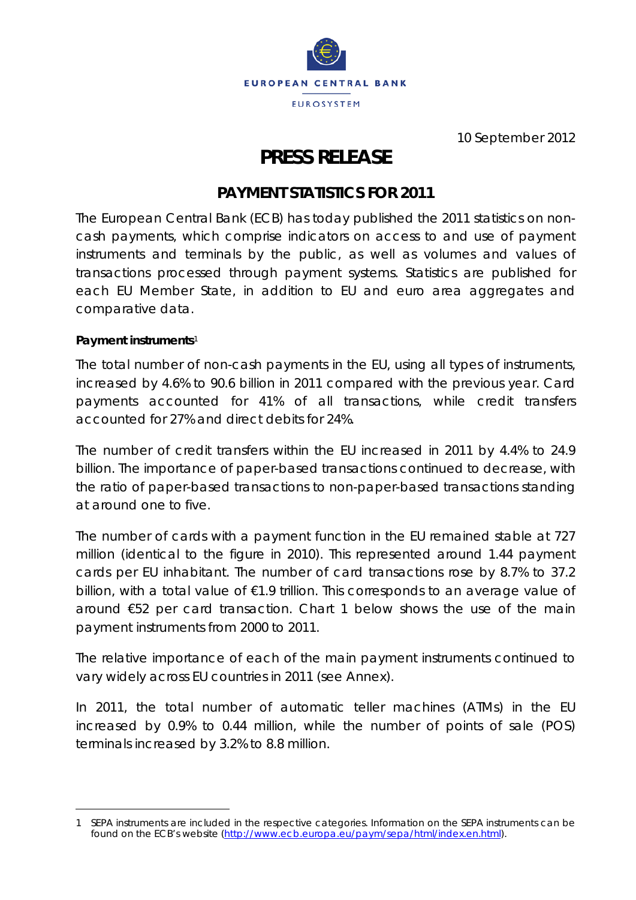

10 September 2012

# **PRESS RELEASE**

## **PAYMENT STATISTICS FOR 2011**

The European Central Bank (ECB) has today published the 2011 statistics on noncash payments, which comprise indicators on access to and use of payment instruments and terminals by the public, as well as volumes and values of transactions processed through payment systems. Statistics are published for each EU Member State, in addition to EU and euro area aggregates and comparative data.

### **Payment instruments**[1](#page-0-0)

<u>.</u>

The total number of non-cash payments in the EU, using all types of instruments, increased by 4.6% to 90.6 billion in 2011 compared with the previous year. Card payments accounted for 41% of all transactions, while credit transfers accounted for 27% and direct debits for 24%.

The number of credit transfers within the EU increased in 2011 by 4.4% to 24.9 billion. The importance of paper-based transactions continued to decrease, with the ratio of paper-based transactions to non-paper-based transactions standing at around one to five.

The number of cards with a payment function in the EU remained stable at 727 million (identical to the figure in 2010). This represented around 1.44 payment cards per EU inhabitant. The number of card transactions rose by 8.7% to 37.2 billion, with a total value of €1.9 trillion. This corresponds to an average value of around €52 per card transaction. Chart 1 below shows the use of the main payment instruments from 2000 to 2011.

The relative importance of each of the main payment instruments continued to vary widely across EU countries in 2011 (see Annex).

In 2011, the total number of automatic teller machines (ATMs) in the EU increased by 0.9% to 0.44 million, while the number of points of sale (POS) terminals increased by 3.2% to 8.8 million.

<span id="page-0-0"></span><sup>1</sup> SEPA instruments are included in the respective categories. Information on the SEPA instruments can be found on the ECB's website [\(http://www.ecb.europa.eu/paym/sepa/html/index.en.html\)](http://www.ecb.europa.eu/paym/sepa/html/index.en.html).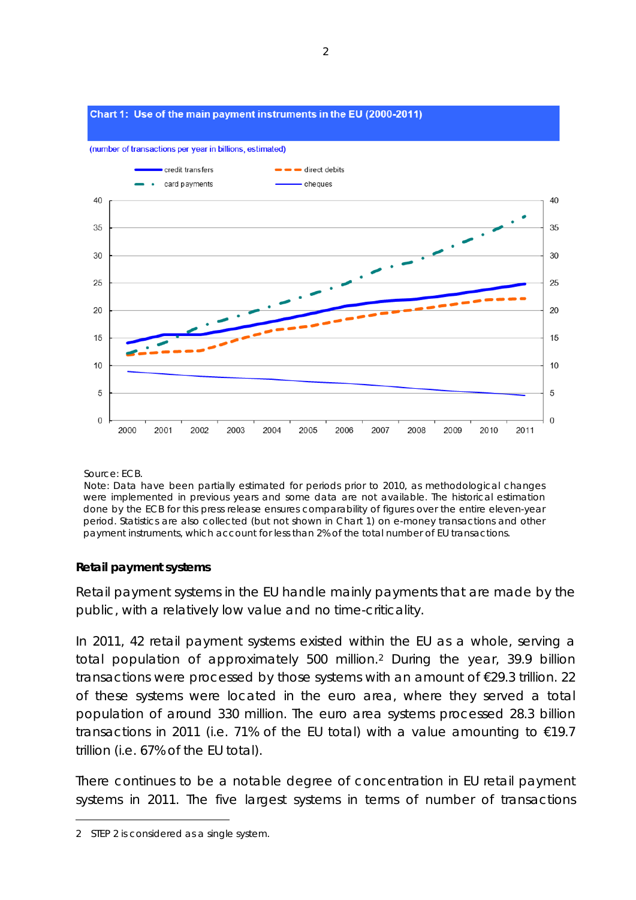#### Chart 1: Use of the main payment instruments in the EU (2000-2011)

(number of transactions per year in billions, estimated)



Source: ECB.

 Note: Data have been partially estimated for periods prior to 2010, as methodological changes were implemented in previous years and some data are not available. The historical estimation done by the ECB for this press release ensures comparability of figures over the entire eleven-year period. Statistics are also collected (but not shown in Chart 1) on e-money transactions and other payment instruments, which account for less than 2% of the total number of EU transactions.

### **Retail payment systems**

Retail payment systems in the EU handle mainly payments that are made by the public, with a relatively low value and no time-criticality.

In 2011, 42 retail payment systems existed within the EU as a whole, serving a total population of approximately 500 million[.2](#page-1-0) During the year, 39.9 billion transactions were processed by those systems with an amount of €29.3 trillion. 22 of these systems were located in the euro area, where they served a total population of around 330 million. The euro area systems processed 28.3 billion transactions in 2011 (i.e. 71% of the EU total) with a value amounting to  $€19.7$ trillion (i.e. 67% of the EU total).

There continues to be a notable degree of concentration in EU retail payment systems in 2011. The five largest systems in terms of number of transactions

-

<span id="page-1-0"></span><sup>2</sup> STEP 2 is considered as a single system.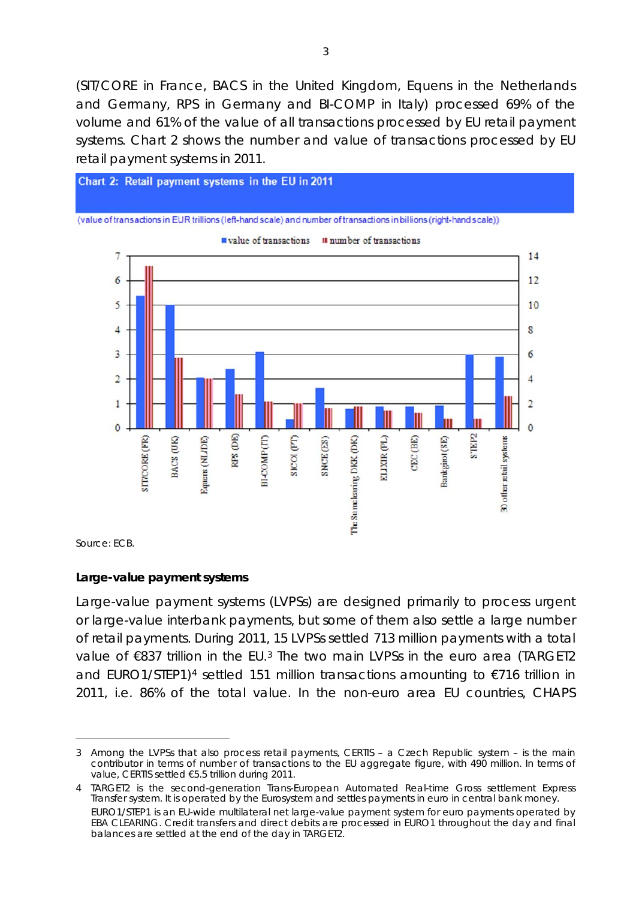(SIT/CORE in France, BACS in the United Kingdom, Equens in the Netherlands and Germany, RPS in Germany and BI-COMP in Italy) processed 69% of the volume and 61% of the value of all transactions processed by EU retail payment systems. Chart 2 shows the number and value of transactions processed by EU retail payment systems in 2011.



Source: ECB.

-

#### **Large-value payment systems**

Large-value payment systems (LVPSs) are designed primarily to process urgent or large-value interbank payments, but some of them also settle a large number of retail payments. During 2011, 15 LVPSs settled 713 million payments with a total value of €8[3](#page-2-0)7 trillion in the EU.<sup>3</sup> The two main LVPSs in the euro area (TARGET2 and EURO1/STEP1)<sup>[4](#page-2-1)</sup> settled 151 million transactions amounting to €716 trillion in 2011, i.e. 86% of the total value. In the non-euro area EU countries, CHAPS

<span id="page-2-0"></span><sup>3</sup> Among the LVPSs that also process retail payments, CERTIS – a Czech Republic system – is the main contributor in terms of number of transactions to the EU aggregate figure, with 490 million. In terms of value, CERTIS settled €5.5 trillion during 2011.

<span id="page-2-1"></span><sup>4</sup> TARGET2 is the second-generation Trans-European Automated Real-time Gross settlement Express Transfer system. It is operated by the Eurosystem and settles payments in euro in central bank money. EURO1/STEP1 is an EU-wide multilateral net large-value payment system for euro payments operated by EBA CLEARING. Credit transfers and direct debits are processed in EURO1 throughout the day and final balances are settled at the end of the day in TARGET2.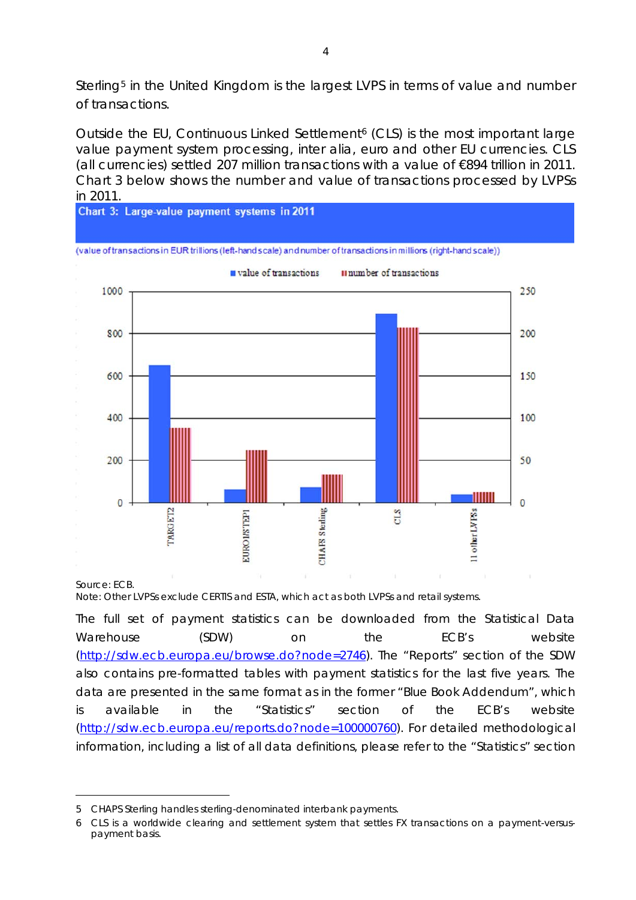Sterling[5](#page-3-0) in the United Kingdom is the largest LVPS in terms of value and number of transactions.

Outside the EU, Continuous Linked Settlement [6](#page-3-1) (CLS) is the most important large value payment system processing, inter alia, euro and other EU currencies. CLS (all currencies) settled 207 million transactions with a value of €894 trillion in 2011. Chart 3 below shows the number and value of transactions processed by LVPSs



Note: Other LVPSs exclude CERTIS and ESTA, which act as both LVPSs and retail systems.

*The full set of payment statistics can be downloaded from the Statistical Data Warehouse (SDW) on the ECB's website [\(http://sdw.ecb.europa.eu/browse.do?node=2746\)](http://sdw.ecb.europa.eu/browse.do?node=2746). The "Reports" section of the SDW also contains pre-formatted tables with payment statistics for the last five years. The data are presented in the same format as in the former "Blue Book Addendum", which is available in the "Statistics" section of the ECB's website [\(http://sdw.ecb.europa.eu/reports.do?node=100000760\)](http://sdw.ecb.europa.eu/reports.do?node=100000760). For detailed methodological information, including a list of all data definitions, please refer to the "Statistics" section* 

<u>.</u>

<span id="page-3-0"></span><sup>5</sup> CHAPS Sterling handles sterling-denominated interbank payments.

<span id="page-3-1"></span><sup>6</sup> CLS is a worldwide clearing and settlement system that settles FX transactions on a payment-versuspayment basis.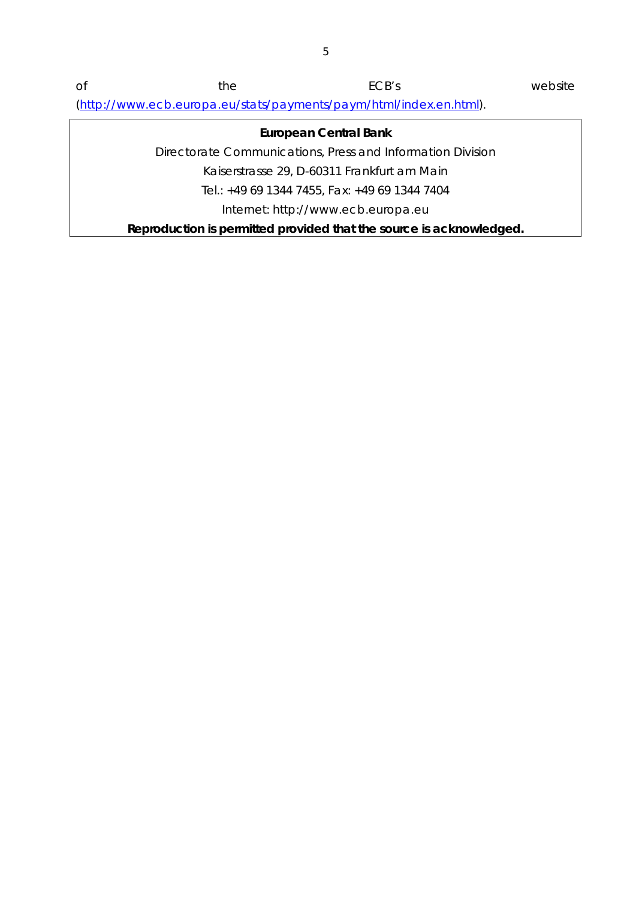*of the ECB's website [\(http://www.ecb.europa.eu/stats/payments/paym/html/index.en.html\)](http://www.ecb.europa.eu/stats/payments/paym/html/index.en.html).*

## **European Central Bank** Directorate Communications, Press and Information Division Kaiserstrasse 29, D-60311 Frankfurt am Main Tel.: +49 69 1344 7455, Fax: +49 69 1344 7404 Internet: http://www.ecb.europa.eu **Reproduction is permitted provided that the source is acknowledged.**